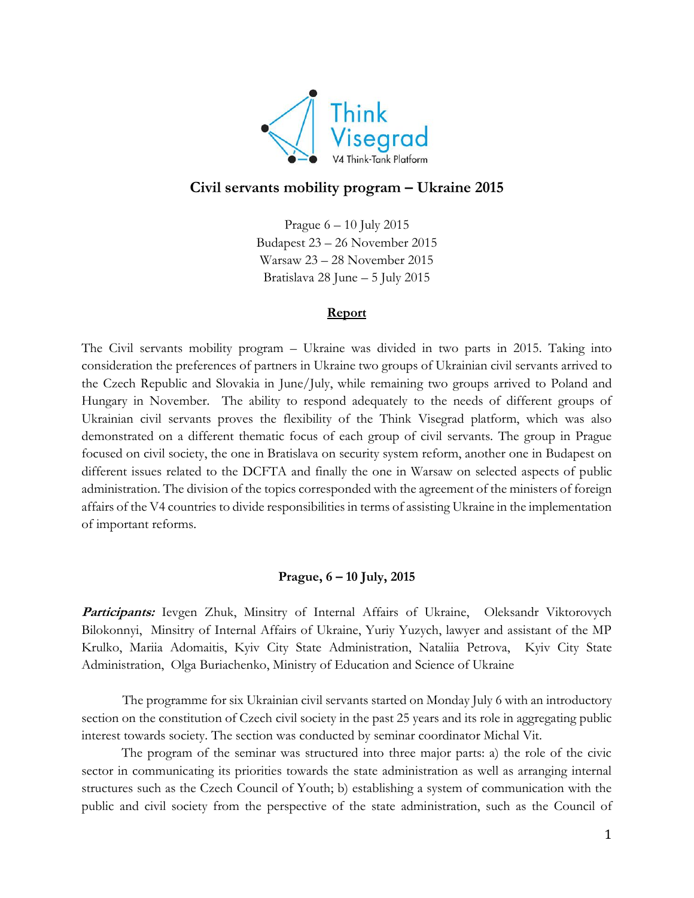

# **Civil servants mobility program – Ukraine 2015**

Prague 6 – 10 July 2015 Budapest 23 – 26 November 2015 Warsaw 23 – 28 November 2015 Bratislava 28 June – 5 July 2015

## **Report**

The Civil servants mobility program – Ukraine was divided in two parts in 2015. Taking into consideration the preferences of partners in Ukraine two groups of Ukrainian civil servants arrived to the Czech Republic and Slovakia in June/July, while remaining two groups arrived to Poland and Hungary in November. The ability to respond adequately to the needs of different groups of Ukrainian civil servants proves the flexibility of the Think Visegrad platform, which was also demonstrated on a different thematic focus of each group of civil servants. The group in Prague focused on civil society, the one in Bratislava on security system reform, another one in Budapest on different issues related to the DCFTA and finally the one in Warsaw on selected aspects of public administration. The division of the topics corresponded with the agreement of the ministers of foreign affairs of the V4 countries to divide responsibilities in terms of assisting Ukraine in the implementation of important reforms.

# **Prague, 6 – 10 July, 2015**

Participants: Ievgen Zhuk, Minsitry of Internal Affairs of Ukraine, Oleksandr Viktorovych Bilokonnyi, Minsitry of Internal Affairs of Ukraine, Yuriy Yuzych, lawyer and assistant of the MP Krulko, Mariia Adomaitis, Kyiv City State Administration, Nataliia Petrova, Kyiv City State Administration, Olga Buriachenko, Ministry of Education and Science of Ukraine

The programme for six Ukrainian civil servants started on Monday July 6 with an introductory section on the constitution of Czech civil society in the past 25 years and its role in aggregating public interest towards society. The section was conducted by seminar coordinator Michal Vit.

The program of the seminar was structured into three major parts: a) the role of the civic sector in communicating its priorities towards the state administration as well as arranging internal structures such as the Czech Council of Youth; b) establishing a system of communication with the public and civil society from the perspective of the state administration, such as the Council of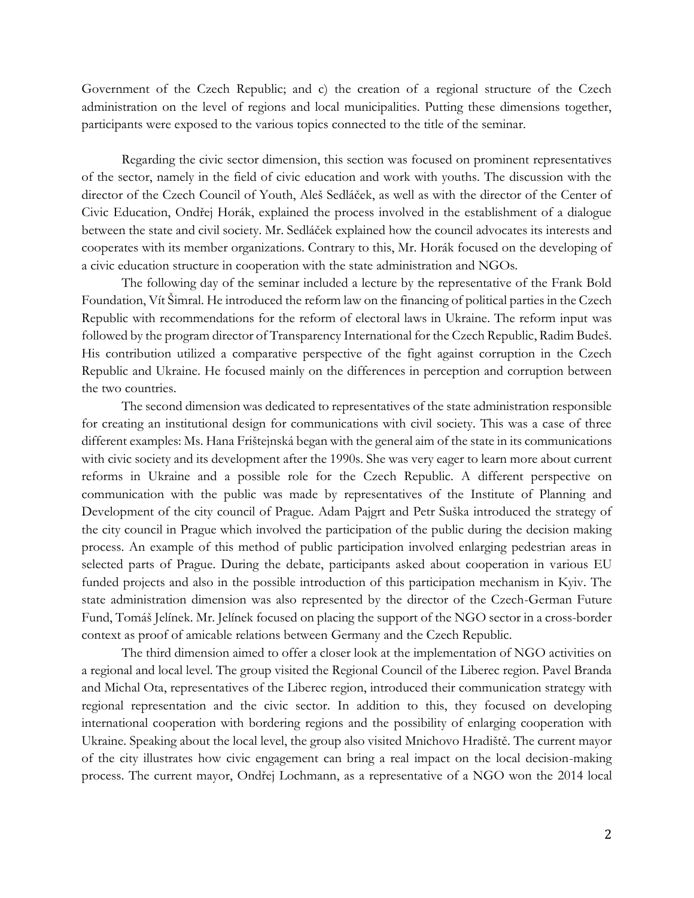Government of the Czech Republic; and c) the creation of a regional structure of the Czech administration on the level of regions and local municipalities. Putting these dimensions together, participants were exposed to the various topics connected to the title of the seminar.

Regarding the civic sector dimension, this section was focused on prominent representatives of the sector, namely in the field of civic education and work with youths. The discussion with the director of the Czech Council of Youth, Aleš Sedláček, as well as with the director of the Center of Civic Education, Ondřej Horák, explained the process involved in the establishment of a dialogue between the state and civil society. Mr. Sedláček explained how the council advocates its interests and cooperates with its member organizations. Contrary to this, Mr. Horák focused on the developing of a civic education structure in cooperation with the state administration and NGOs.

The following day of the seminar included a lecture by the representative of the Frank Bold Foundation, Vít Šimral. He introduced the reform law on the financing of political parties in the Czech Republic with recommendations for the reform of electoral laws in Ukraine. The reform input was followed by the program director of Transparency International for the Czech Republic, Radim Budeš. His contribution utilized a comparative perspective of the fight against corruption in the Czech Republic and Ukraine. He focused mainly on the differences in perception and corruption between the two countries.

The second dimension was dedicated to representatives of the state administration responsible for creating an institutional design for communications with civil society. This was a case of three different examples: Ms. Hana Frištejnská began with the general aim of the state in its communications with civic society and its development after the 1990s. She was very eager to learn more about current reforms in Ukraine and a possible role for the Czech Republic. A different perspective on communication with the public was made by representatives of the Institute of Planning and Development of the city council of Prague. Adam Pajgrt and Petr Suška introduced the strategy of the city council in Prague which involved the participation of the public during the decision making process. An example of this method of public participation involved enlarging pedestrian areas in selected parts of Prague. During the debate, participants asked about cooperation in various EU funded projects and also in the possible introduction of this participation mechanism in Kyiv. The state administration dimension was also represented by the director of the Czech-German Future Fund, Tomáš Jelínek. Mr. Jelínek focused on placing the support of the NGO sector in a cross-border context as proof of amicable relations between Germany and the Czech Republic.

The third dimension aimed to offer a closer look at the implementation of NGO activities on a regional and local level. The group visited the Regional Council of the Liberec region. Pavel Branda and Michal Ota, representatives of the Liberec region, introduced their communication strategy with regional representation and the civic sector. In addition to this, they focused on developing international cooperation with bordering regions and the possibility of enlarging cooperation with Ukraine. Speaking about the local level, the group also visited Mnichovo Hradiště. The current mayor of the city illustrates how civic engagement can bring a real impact on the local decision-making process. The current mayor, Ondřej Lochmann, as a representative of a NGO won the 2014 local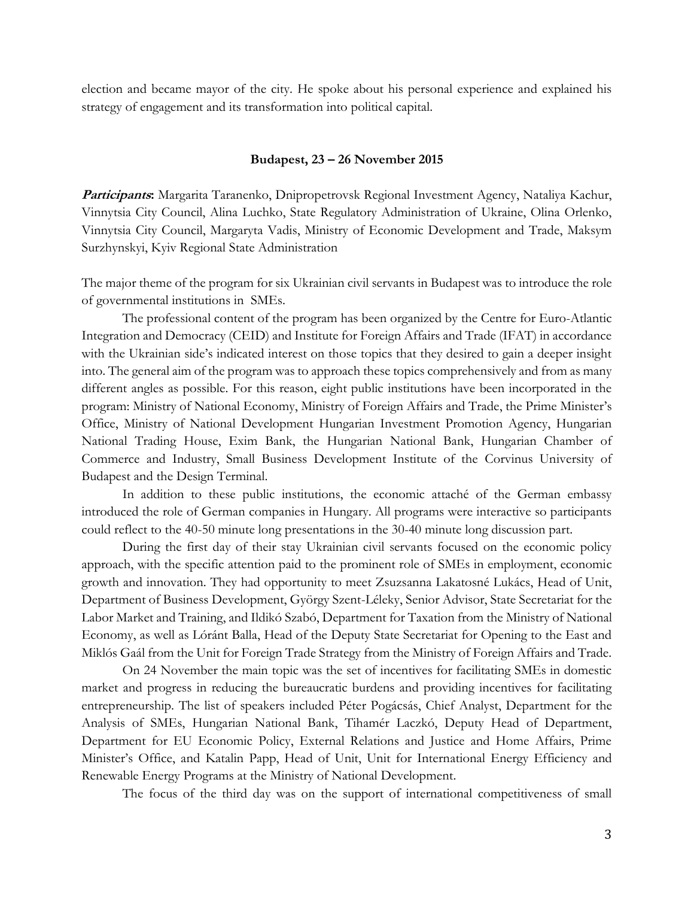election and became mayor of the city. He spoke about his personal experience and explained his strategy of engagement and its transformation into political capital.

#### **Budapest, 23 – 26 November 2015**

**Participants:** Margarita Taranenko, Dnipropetrovsk Regional Investment Agency, Nataliya Kachur, Vinnytsia City Council, Alina Luchko, State Regulatory Administration of Ukraine, Olina Orlenko, Vinnytsia City Council, Margaryta Vadis, Ministry of Economic Development and Trade, Maksym Surzhynskyi, Kyiv Regional State Administration

The major theme of the program for six Ukrainian civil servants in Budapest was to introduce the role of governmental institutions in SMEs.

The professional content of the program has been organized by the Centre for Euro-Atlantic Integration and Democracy (CEID) and Institute for Foreign Affairs and Trade (IFAT) in accordance with the Ukrainian side's indicated interest on those topics that they desired to gain a deeper insight into. The general aim of the program was to approach these topics comprehensively and from as many different angles as possible. For this reason, eight public institutions have been incorporated in the program: Ministry of National Economy, Ministry of Foreign Affairs and Trade, the Prime Minister's Office, Ministry of National Development Hungarian Investment Promotion Agency, Hungarian National Trading House, Exim Bank, the Hungarian National Bank, Hungarian Chamber of Commerce and Industry, Small Business Development Institute of the Corvinus University of Budapest and the Design Terminal.

In addition to these public institutions, the economic attaché of the German embassy introduced the role of German companies in Hungary. All programs were interactive so participants could reflect to the 40-50 minute long presentations in the 30-40 minute long discussion part.

During the first day of their stay Ukrainian civil servants focused on the economic policy approach, with the specific attention paid to the prominent role of SMEs in employment, economic growth and innovation. They had opportunity to meet Zsuzsanna Lakatosné Lukács, Head of Unit, Department of Business Development, György Szent-Léleky, Senior Advisor, State Secretariat for the Labor Market and Training, and Ildikó Szabó, Department for Taxation from the Ministry of National Economy, as well as Lóránt Balla, Head of the Deputy State Secretariat for Opening to the East and Miklós Gaál from the Unit for Foreign Trade Strategy from the Ministry of Foreign Affairs and Trade.

On 24 November the main topic was the set of incentives for facilitating SMEs in domestic market and progress in reducing the bureaucratic burdens and providing incentives for facilitating entrepreneurship. The list of speakers included Péter Pogácsás, Chief Analyst, Department for the Analysis of SMEs, Hungarian National Bank, Tihamér Laczkó, Deputy Head of Department, Department for EU Economic Policy, External Relations and Justice and Home Affairs, Prime Minister's Office, and Katalin Papp, Head of Unit, Unit for International Energy Efficiency and Renewable Energy Programs at the Ministry of National Development.

The focus of the third day was on the support of international competitiveness of small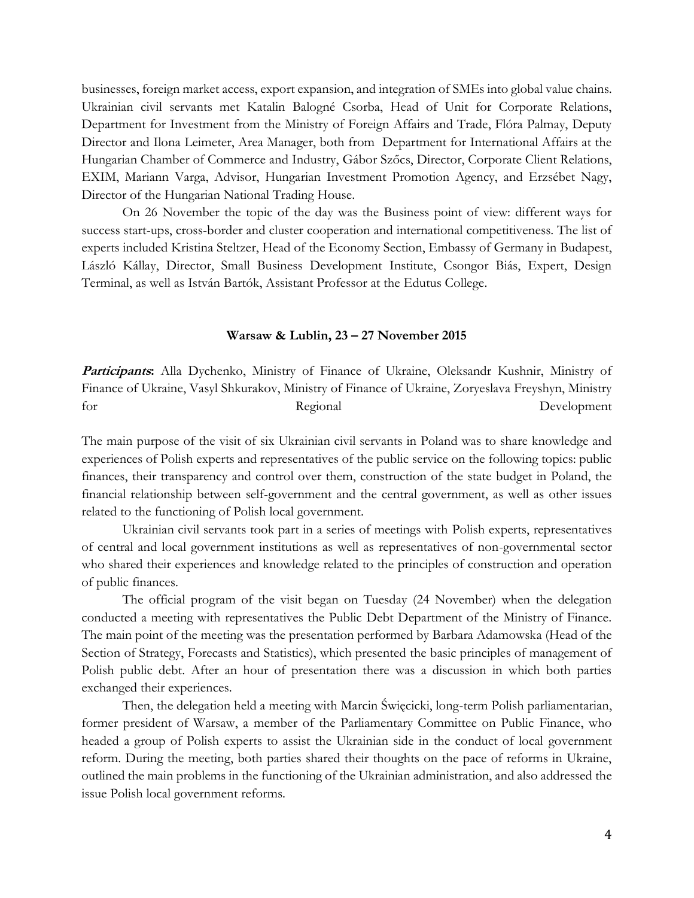businesses, foreign market access, export expansion, and integration of SMEs into global value chains. Ukrainian civil servants met Katalin Balogné Csorba, Head of Unit for Corporate Relations, Department for Investment from the Ministry of Foreign Affairs and Trade, Flóra Palmay, Deputy Director and Ilona Leimeter, Area Manager, both from Department for International Affairs at the Hungarian Chamber of Commerce and Industry, Gábor Szőcs, Director, Corporate Client Relations, EXIM, Mariann Varga, Advisor, Hungarian Investment Promotion Agency, and Erzsébet Nagy, Director of the Hungarian National Trading House.

On 26 November the topic of the day was the Business point of view: different ways for success start-ups, cross-border and cluster cooperation and international competitiveness. The list of experts included Kristina Steltzer, Head of the Economy Section, Embassy of Germany in Budapest, László Kállay, Director, Small Business Development Institute, Csongor Biás, Expert, Design Terminal, as well as István Bartók, Assistant Professor at the Edutus College.

### **Warsaw & Lublin, 23 – 27 November 2015**

**Participants:** Alla Dychenko, Ministry of Finance of Ukraine, Oleksandr Kushnir, Ministry of Finance of Ukraine, Vasyl Shkurakov, Ministry of Finance of Ukraine, Zoryeslava Freyshyn, Ministry for Regional Regional Development

The main purpose of the visit of six Ukrainian civil servants in Poland was to share knowledge and experiences of Polish experts and representatives of the public service on the following topics: public finances, their transparency and control over them, construction of the state budget in Poland, the financial relationship between self-government and the central government, as well as other issues related to the functioning of Polish local government.

Ukrainian civil servants took part in a series of meetings with Polish experts, representatives of central and local government institutions as well as representatives of non-governmental sector who shared their experiences and knowledge related to the principles of construction and operation of public finances.

The official program of the visit began on Tuesday (24 November) when the delegation conducted a meeting with representatives the Public Debt Department of the Ministry of Finance. The main point of the meeting was the presentation performed by Barbara Adamowska (Head of the Section of Strategy, Forecasts and Statistics), which presented the basic principles of management of Polish public debt. After an hour of presentation there was a discussion in which both parties exchanged their experiences.

Then, the delegation held a meeting with Marcin Święcicki, long-term Polish parliamentarian, former president of Warsaw, a member of the Parliamentary Committee on Public Finance, who headed a group of Polish experts to assist the Ukrainian side in the conduct of local government reform. During the meeting, both parties shared their thoughts on the pace of reforms in Ukraine, outlined the main problems in the functioning of the Ukrainian administration, and also addressed the issue Polish local government reforms.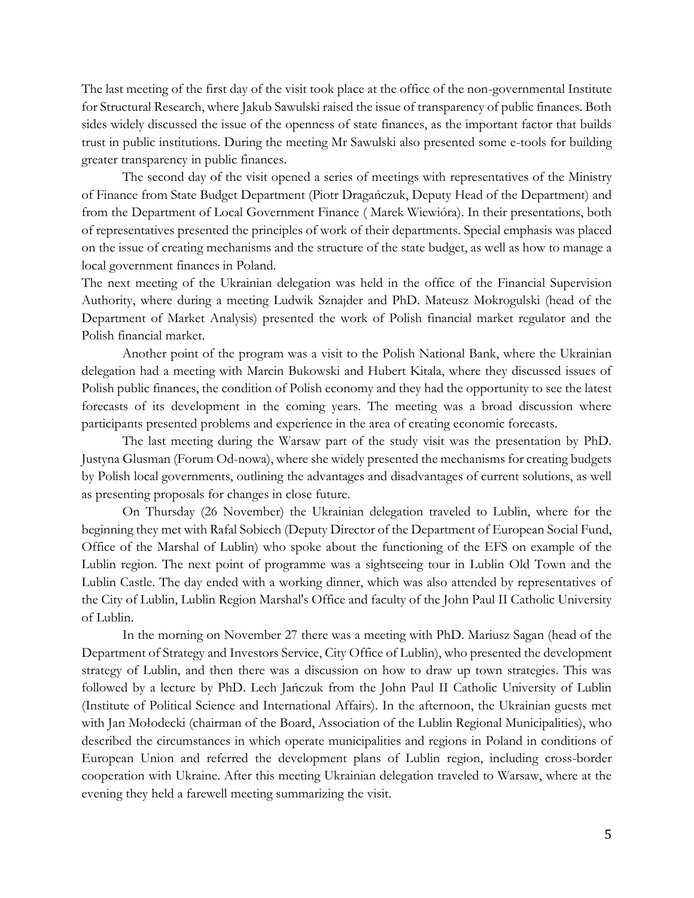The last meeting of the first day of the visit took place at the office of the non-governmental Institute for Structural Research, where Jakub Sawulski raised the issue of transparency of public finances. Both sides widely discussed the issue of the openness of state finances, as the important factor that builds trust in public institutions. During the meeting Mr Sawulski also presented some e-tools for building greater transparency in public finances.

The second day of the visit opened a series of meetings with representatives of the Ministry of Finance from State Budget Department (Piotr Dragańczuk, Deputy Head of the Department) and from the Department of Local Government Finance ( Marek Wiewióra). In their presentations, both of representatives presented the principles of work of their departments. Special emphasis was placed on the issue of creating mechanisms and the structure of the state budget, as well as how to manage a local government finances in Poland.

The next meeting of the Ukrainian delegation was held in the office of the Financial Supervision Authority, where during a meeting Ludwik Sznajder and PhD. Mateusz Mokrogulski (head of the Department of Market Analysis) presented the work of Polish financial market regulator and the Polish financial market.

Another point of the program was a visit to the Polish National Bank, where the Ukrainian delegation had a meeting with Marcin Bukowski and Hubert Kitala, where they discussed issues of Polish public finances, the condition of Polish economy and they had the opportunity to see the latest forecasts of its development in the coming years. The meeting was a broad discussion where participants presented problems and experience in the area of creating economic forecasts.

The last meeting during the Warsaw part of the study visit was the presentation by PhD. Justyna Glusman (Forum Od-nowa), where she widely presented the mechanisms for creating budgets by Polish local governments, outlining the advantages and disadvantages of current solutions, as well as presenting proposals for changes in close future.

On Thursday (26 November) the Ukrainian delegation traveled to Lublin, where for the beginning they met with Rafal Sobiech (Deputy Director of the Department of European Social Fund, Office of the Marshal of Lublin) who spoke about the functioning of the EFS on example of the Lublin region. The next point of programme was a sightseeing tour in Lublin Old Town and the Lublin Castle. The day ended with a working dinner, which was also attended by representatives of the City of Lublin, Lublin Region Marshal's Office and faculty of the John Paul II Catholic University of Lublin.

In the morning on November 27 there was a meeting with PhD. Mariusz Sagan (head of the Department of Strategy and Investors Service, City Office of Lublin), who presented the development strategy of Lublin, and then there was a discussion on how to draw up town strategies. This was followed by a lecture by PhD. Lech Jańczuk from the John Paul II Catholic University of Lublin (Institute of Political Science and International Affairs). In the afternoon, the Ukrainian guests met with Jan Mołodecki (chairman of the Board, Association of the Lublin Regional Municipalities), who described the circumstances in which operate municipalities and regions in Poland in conditions of European Union and referred the development plans of Lublin region, including cross-border cooperation with Ukraine. After this meeting Ukrainian delegation traveled to Warsaw, where at the evening they held a farewell meeting summarizing the visit.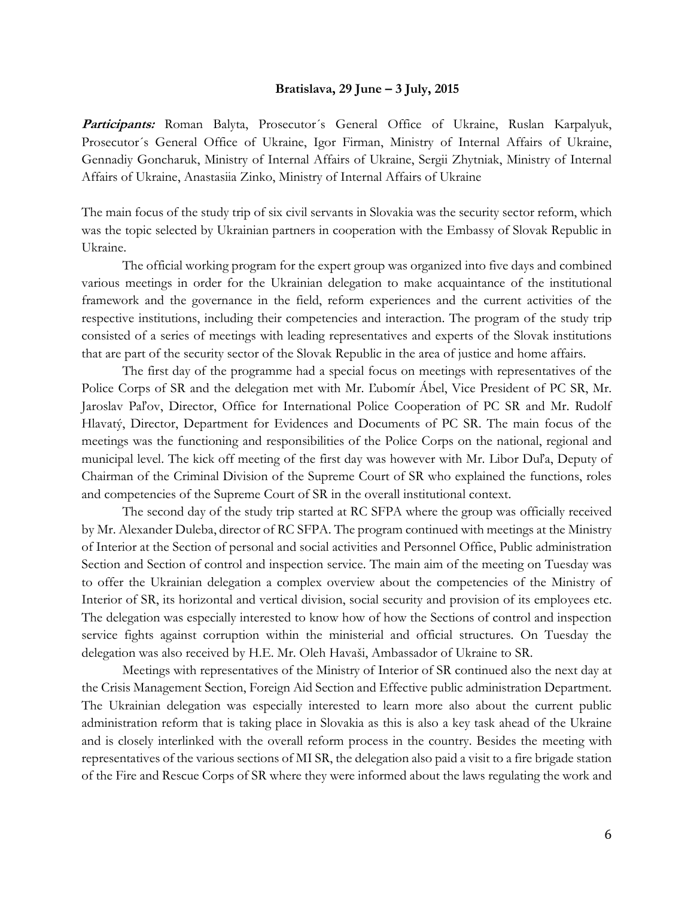#### **Bratislava, 29 June – 3 July, 2015**

Participants: Roman Balyta, Prosecutor's General Office of Ukraine, Ruslan Karpalyuk, Prosecutor´s General Office of Ukraine, Igor Firman, Ministry of Internal Affairs of Ukraine, Gennadiy Goncharuk, Ministry of Internal Affairs of Ukraine, Sergii Zhytniak, Ministry of Internal Affairs of Ukraine, Anastasiia Zinko, Ministry of Internal Affairs of Ukraine

The main focus of the study trip of six civil servants in Slovakia was the security sector reform, which was the topic selected by Ukrainian partners in cooperation with the Embassy of Slovak Republic in Ukraine.

The official working program for the expert group was organized into five days and combined various meetings in order for the Ukrainian delegation to make acquaintance of the institutional framework and the governance in the field, reform experiences and the current activities of the respective institutions, including their competencies and interaction. The program of the study trip consisted of a series of meetings with leading representatives and experts of the Slovak institutions that are part of the security sector of the Slovak Republic in the area of justice and home affairs.

The first day of the programme had a special focus on meetings with representatives of the Police Corps of SR and the delegation met with Mr. Ľubomír Ábel, Vice President of PC SR, Mr. Jaroslav Paľov, Director, Office for International Police Cooperation of PC SR and Mr. Rudolf Hlavatý, Director, Department for Evidences and Documents of PC SR. The main focus of the meetings was the functioning and responsibilities of the Police Corps on the national, regional and municipal level. The kick off meeting of the first day was however with Mr. Libor Duľa, Deputy of Chairman of the Criminal Division of the Supreme Court of SR who explained the functions, roles and competencies of the Supreme Court of SR in the overall institutional context.

The second day of the study trip started at RC SFPA where the group was officially received by Mr. Alexander Duleba, director of RC SFPA. The program continued with meetings at the Ministry of Interior at the Section of personal and social activities and Personnel Office, Public administration Section and Section of control and inspection service. The main aim of the meeting on Tuesday was to offer the Ukrainian delegation a complex overview about the competencies of the Ministry of Interior of SR, its horizontal and vertical division, social security and provision of its employees etc. The delegation was especially interested to know how of how the Sections of control and inspection service fights against corruption within the ministerial and official structures. On Tuesday the delegation was also received by H.E. Mr. Oleh Havaši, Ambassador of Ukraine to SR.

Meetings with representatives of the Ministry of Interior of SR continued also the next day at the Crisis Management Section, Foreign Aid Section and Effective public administration Department. The Ukrainian delegation was especially interested to learn more also about the current public administration reform that is taking place in Slovakia as this is also a key task ahead of the Ukraine and is closely interlinked with the overall reform process in the country. Besides the meeting with representatives of the various sections of MI SR, the delegation also paid a visit to a fire brigade station of the Fire and Rescue Corps of SR where they were informed about the laws regulating the work and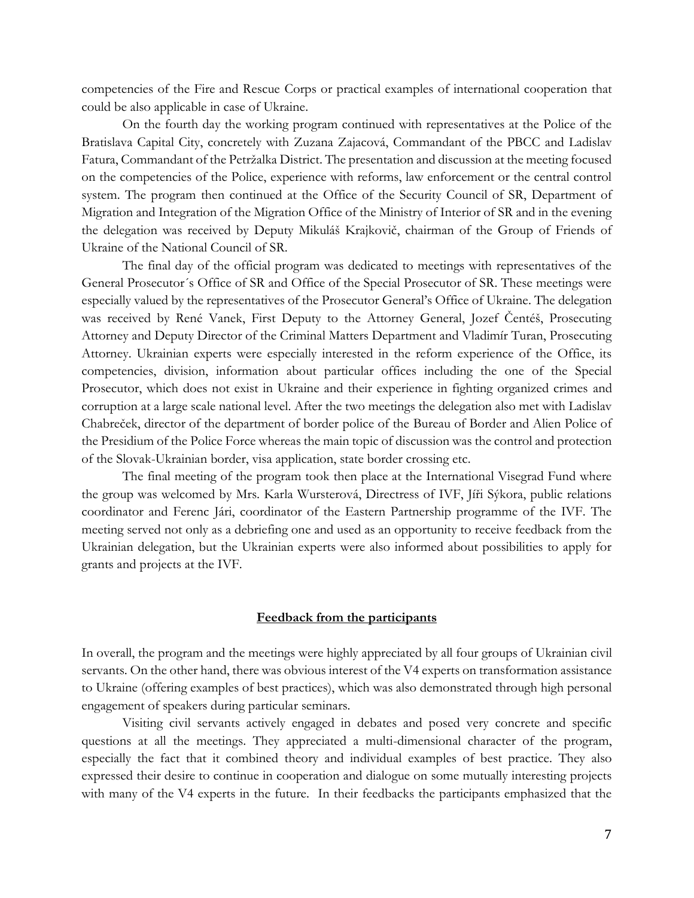competencies of the Fire and Rescue Corps or practical examples of international cooperation that could be also applicable in case of Ukraine.

On the fourth day the working program continued with representatives at the Police of the Bratislava Capital City, concretely with Zuzana Zajacová, Commandant of the PBCC and Ladislav Fatura, Commandant of the Petržalka District. The presentation and discussion at the meeting focused on the competencies of the Police, experience with reforms, law enforcement or the central control system. The program then continued at the Office of the Security Council of SR, Department of Migration and Integration of the Migration Office of the Ministry of Interior of SR and in the evening the delegation was received by Deputy Mikuláš Krajkovič, chairman of the Group of Friends of Ukraine of the National Council of SR.

The final day of the official program was dedicated to meetings with representatives of the General Prosecutor´s Office of SR and Office of the Special Prosecutor of SR. These meetings were especially valued by the representatives of the Prosecutor General's Office of Ukraine. The delegation was received by René Vanek, First Deputy to the Attorney General, Jozef Čentéš, Prosecuting Attorney and Deputy Director of the Criminal Matters Department and Vladimír Turan, Prosecuting Attorney. Ukrainian experts were especially interested in the reform experience of the Office, its competencies, division, information about particular offices including the one of the Special Prosecutor, which does not exist in Ukraine and their experience in fighting organized crimes and corruption at a large scale national level. After the two meetings the delegation also met with Ladislav Chabreček, director of the department of border police of the Bureau of Border and Alien Police of the Presidium of the Police Force whereas the main topic of discussion was the control and protection of the Slovak-Ukrainian border, visa application, state border crossing etc.

The final meeting of the program took then place at the International Visegrad Fund where the group was welcomed by Mrs. Karla Wursterová, Directress of IVF, Jíři Sýkora, public relations coordinator and Ferenc Jári, coordinator of the Eastern Partnership programme of the IVF. The meeting served not only as a debriefing one and used as an opportunity to receive feedback from the Ukrainian delegation, but the Ukrainian experts were also informed about possibilities to apply for grants and projects at the IVF.

#### **Feedback from the participants**

In overall, the program and the meetings were highly appreciated by all four groups of Ukrainian civil servants. On the other hand, there was obvious interest of the V4 experts on transformation assistance to Ukraine (offering examples of best practices), which was also demonstrated through high personal engagement of speakers during particular seminars.

Visiting civil servants actively engaged in debates and posed very concrete and specific questions at all the meetings. They appreciated a multi-dimensional character of the program, especially the fact that it combined theory and individual examples of best practice. They also expressed their desire to continue in cooperation and dialogue on some mutually interesting projects with many of the V4 experts in the future. In their feedbacks the participants emphasized that the